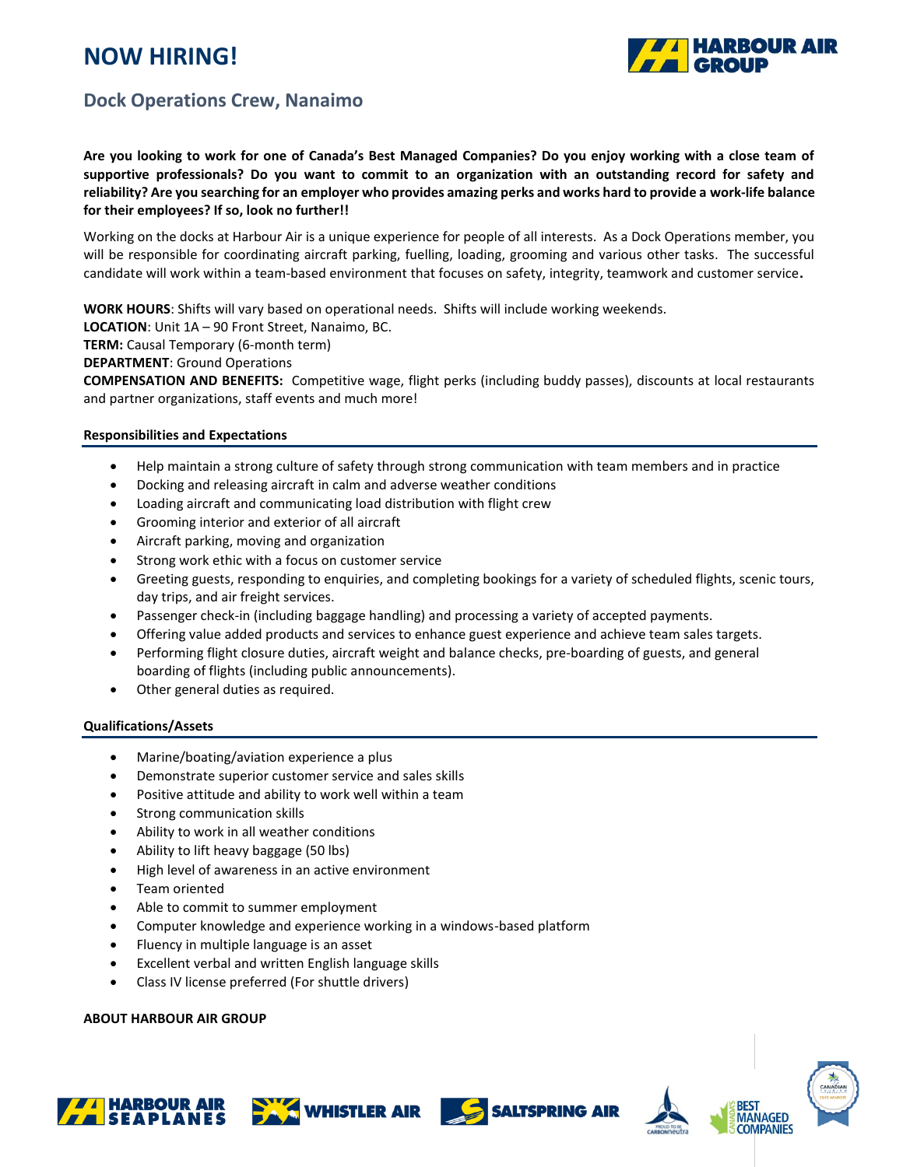# **NOW HIRING!**



### **Dock Operations Crew, Nanaimo**

#### **Are you looking to work for one of Canada's Best Managed Companies? Do you enjoy working with a close team of supportive professionals? Do you want to commit to an organization with an outstanding record for safety and reliability? Are you searching for an employer who provides amazing perks and works hard to provide a work-life balance for their employees? If so, look no further!!**

Working on the docks at Harbour Air is a unique experience for people of all interests. As a Dock Operations member, you will be responsible for coordinating aircraft parking, fuelling, loading, grooming and various other tasks. The successful candidate will work within a team-based environment that focuses on safety, integrity, teamwork and customer service**.**

**WORK HOURS**: Shifts will vary based on operational needs. Shifts will include working weekends.

**LOCATION**: Unit 1A – 90 Front Street, Nanaimo, BC.

**TERM:** Causal Temporary (6-month term)

**DEPARTMENT**: Ground Operations

**COMPENSATION AND BENEFITS:** Competitive wage, flight perks (including buddy passes), discounts at local restaurants and partner organizations, staff events and much more!

#### **Responsibilities and Expectations**

- Help maintain a strong culture of safety through strong communication with team members and in practice
- Docking and releasing aircraft in calm and adverse weather conditions
- Loading aircraft and communicating load distribution with flight crew
- Grooming interior and exterior of all aircraft
- Aircraft parking, moving and organization
- Strong work ethic with a focus on customer service
- Greeting guests, responding to enquiries, and completing bookings for a variety of scheduled flights, scenic tours, day trips, and air freight services.
- Passenger check-in (including baggage handling) and processing a variety of accepted payments.
- Offering value added products and services to enhance guest experience and achieve team sales targets.
- Performing flight closure duties, aircraft weight and balance checks, pre-boarding of guests, and general boarding of flights (including public announcements).
- Other general duties as required.

#### **Qualifications/Assets**

- Marine/boating/aviation experience a plus
- Demonstrate superior customer service and sales skills
- Positive attitude and ability to work well within a team
- Strong communication skills
- Ability to work in all weather conditions
- Ability to lift heavy baggage (50 lbs)
- High level of awareness in an active environment
- Team oriented
- Able to commit to summer employment
- Computer knowledge and experience working in a windows-based platform
- Fluency in multiple language is an asset
- Excellent verbal and written English language skills
- Class IV license preferred (For shuttle drivers)

#### **ABOUT HARBOUR AIR GROUP**